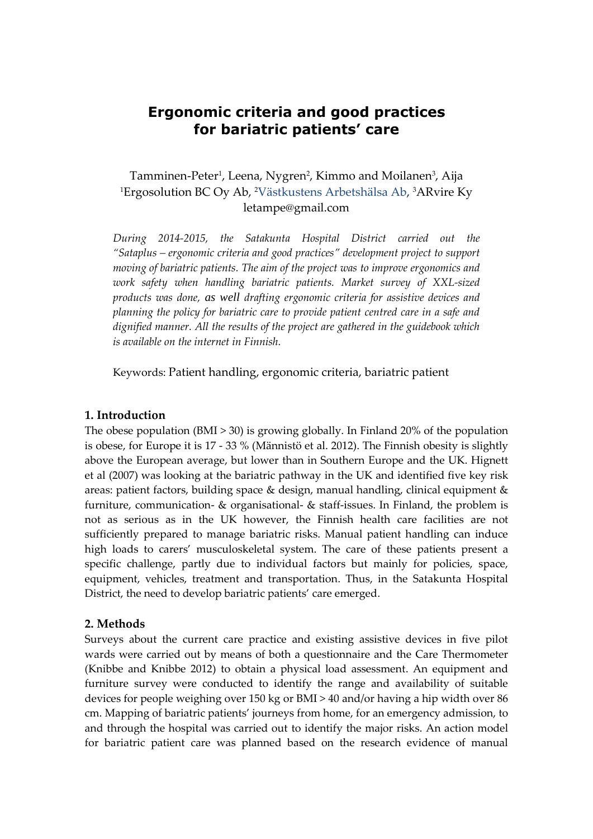# **Ergonomic criteria and good practices for bariatric patients' care**

# Tamminen-Peter<sup>1</sup>, Leena, Nygren<sup>2</sup>, Kimmo and Moilanen<sup>3</sup>, Aija <sup>1</sup>Ergosolution BC Oy Ab, 2Västkustens Arbetshälsa Ab, <sup>3</sup>ARvire Ky letampe@gmail.com

*During 2014-2015, the Satakunta Hospital District carried out the "Sataplus – ergonomic criteria and good practices" development project to support moving of bariatric patients. The aim of the project was to improve ergonomics and work safety when handling bariatric patients. Market survey of XXL-sized products was done, as well drafting ergonomic criteria for assistive devices and planning the policy for bariatric care to provide patient centred care in a safe and dignified manner. All the results of the project are gathered in the guidebook which is available on the internet in Finnish.*

Keywords: Patient handling, ergonomic criteria, bariatric patient

### **1. Introduction**

The obese population (BMI > 30) is growing globally. In Finland 20% of the population is obese, for Europe it is 17 - 33 % (Männistö et al. 2012). The Finnish obesity is slightly above the European average, but lower than in Southern Europe and the UK. Hignett et al (2007) was looking at the bariatric pathway in the UK and identified five key risk areas: patient factors, building space & design, manual handling, clinical equipment & furniture, communication- & organisational- & staff-issues. In Finland, the problem is not as serious as in the UK however, the Finnish health care facilities are not sufficiently prepared to manage bariatric risks. Manual patient handling can induce high loads to carers' musculoskeletal system. The care of these patients present a specific challenge, partly due to individual factors but mainly for policies, space, equipment, vehicles, treatment and transportation. Thus, in the Satakunta Hospital District, the need to develop bariatric patients' care emerged.

### **2. Methods**

Surveys about the current care practice and existing assistive devices in five pilot wards were carried out by means of both a questionnaire and the Care Thermometer (Knibbe and Knibbe 2012) to obtain a physical load assessment. An equipment and furniture survey were conducted to identify the range and availability of suitable devices for people weighing over 150 kg or BMI > 40 and/or having a hip width over 86 cm. Mapping of bariatric patients' journeys from home, for an emergency admission, to and through the hospital was carried out to identify the major risks. An action model for bariatric patient care was planned based on the research evidence of manual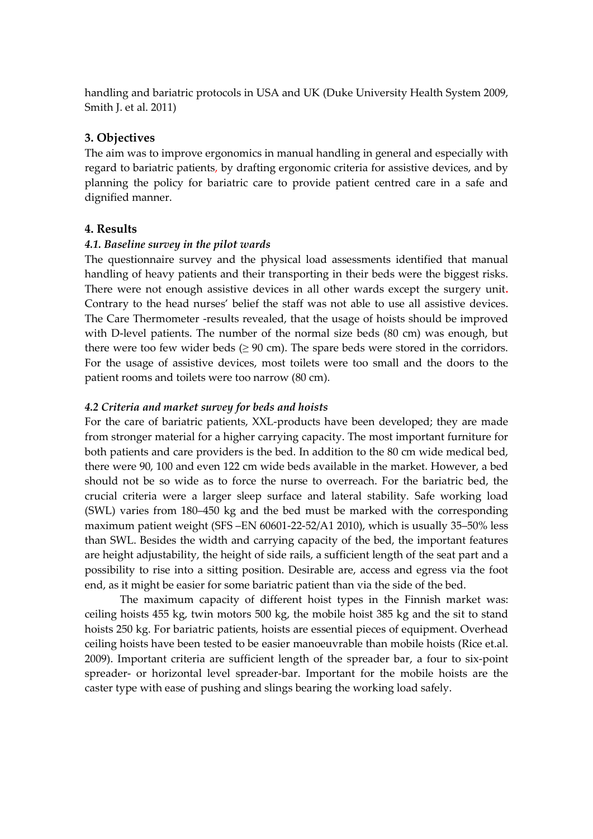handling and bariatric protocols in USA and UK (Duke University Health System 2009, Smith J. et al. 2011)

# **3. Objectives**

The aim was to improve ergonomics in manual handling in general and especially with regard to bariatric patients, by drafting ergonomic criteria for assistive devices, and by planning the policy for bariatric care to provide patient centred care in a safe and dignified manner.

# **4. Results**

### *4.1. Baseline survey in the pilot wards*

The questionnaire survey and the physical load assessments identified that manual handling of heavy patients and their transporting in their beds were the biggest risks. There were not enough assistive devices in all other wards except the surgery unit**.** Contrary to the head nurses' belief the staff was not able to use all assistive devices. The Care Thermometer -results revealed, that the usage of hoists should be improved with D-level patients. The number of the normal size beds (80 cm) was enough, but there were too few wider beds  $(≥ 90$  cm). The spare beds were stored in the corridors. For the usage of assistive devices, most toilets were too small and the doors to the patient rooms and toilets were too narrow (80 cm).

# *4.2 Criteria and market survey for beds and hoists*

For the care of bariatric patients, XXL-products have been developed; they are made from stronger material for a higher carrying capacity. The most important furniture for both patients and care providers is the bed. In addition to the 80 cm wide medical bed, there were 90, 100 and even 122 cm wide beds available in the market. However, a bed should not be so wide as to force the nurse to overreach. For the bariatric bed, the crucial criteria were a larger sleep surface and lateral stability. Safe working load (SWL) varies from 180–450 kg and the bed must be marked with the corresponding maximum patient weight (SFS –EN 60601-22-52/A1 2010), which is usually 35–50% less than SWL. Besides the width and carrying capacity of the bed, the important features are height adjustability, the height of side rails, a sufficient length of the seat part and a possibility to rise into a sitting position. Desirable are, access and egress via the foot end, as it might be easier for some bariatric patient than via the side of the bed.

The maximum capacity of different hoist types in the Finnish market was: ceiling hoists 455 kg, twin motors 500 kg, the mobile hoist 385 kg and the sit to stand hoists 250 kg. For bariatric patients, hoists are essential pieces of equipment. Overhead ceiling hoists have been tested to be easier manoeuvrable than mobile hoists (Rice et.al. 2009). Important criteria are sufficient length of the spreader bar, a four to six-point spreader- or horizontal level spreader-bar. Important for the mobile hoists are the caster type with ease of pushing and slings bearing the working load safely.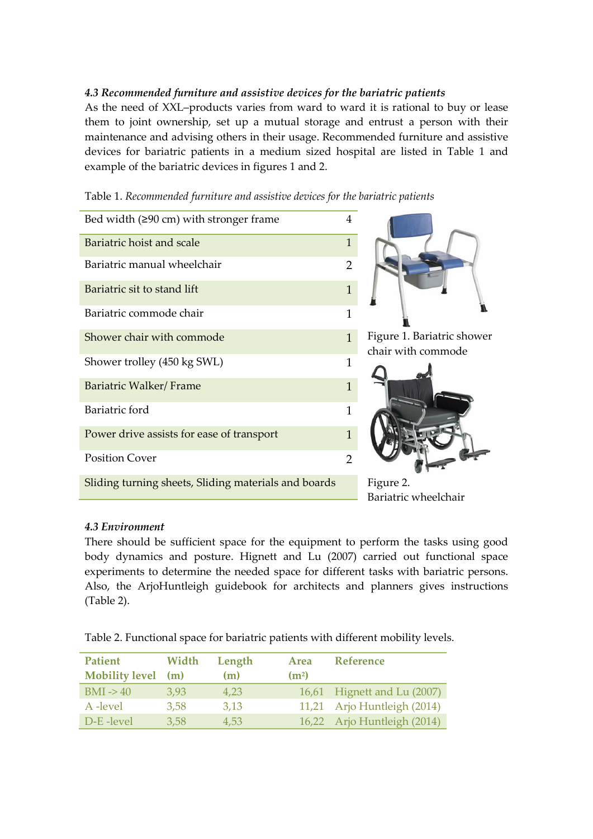# *4.3 Recommended furniture and assistive devices for the bariatric patients*

As the need of XXL–products varies from ward to ward it is rational to buy or lease them to joint ownership, set up a mutual storage and entrust a person with their maintenance and advising others in their usage. Recommended furniture and assistive devices for bariatric patients in a medium sized hospital are listed in Table 1 and example of the bariatric devices in figures 1 and 2.

Figure 1. Bariatric shower chair with commode Figure 2. Bariatric wheelchair Bed width  $(290 \text{ cm})$  with stronger frame 4 Bariatric hoist and scale 1 and 1 and 1 and 1 and 1 and 1 and 1 and 1 and 1 and 1 and 1 and 1 and 1 and 1 and 1 and 1 and 1 and 1 and 1 and 1 and 1 and 1 and 1 and 1 and 1 and 1 and 1 and 1 and 1 and 1 and 1 and 1 and 1 an Bariatric manual wheelchair **2** and 2 Bariatric sit to stand lift 1 and 1 and 1 and 1 and 1 and 1 and 1 and 1 and 1 and 1 and 1 and 1 and 1 and 1 and 1 and 1 and 1 and 1 and 1 and 1 and 1 and 1 and 1 and 1 and 1 and 1 and 1 and 1 and 1 and 1 and 1 and 1 and 1 Bariatric commode chair 1 Shower chair with commode 1 and 1 1 Shower trolley (450 kg SWL) 1 Bariatric Walker/ Frame 1 Bariatric ford 1 Power drive assists for ease of transport 1 Position Cover 2008 Sliding turning sheets, Sliding materials and boards

Table 1. *Recommended furniture and assistive devices for the bariatric patients*

### *4.3 Environment*

There should be sufficient space for the equipment to perform the tasks using good body dynamics and posture. Hignett and Lu (2007) carried out functional space experiments to determine the needed space for different tasks with bariatric persons. Also, the ArjoHuntleigh guidebook for architects and planners gives instructions (Table 2).

Table 2. Functional space for bariatric patients with different mobility levels.

| <b>Patient</b><br><b>Mobility level</b> | Width<br>(m) | Length<br>(m) | Area<br>(m <sup>2</sup> ) | <b>Reference</b>            |
|-----------------------------------------|--------------|---------------|---------------------------|-----------------------------|
| $BMI \rightarrow 40$                    | 3,93         | 4.23          |                           | 16,61 Hignett and Lu (2007) |
| A -level                                | 3,58         | 3,13          |                           | 11,21 Arjo Huntleigh (2014) |
| D-E-level                               | 3,58         | 4.53          |                           | 16,22 Arjo Huntleigh (2014) |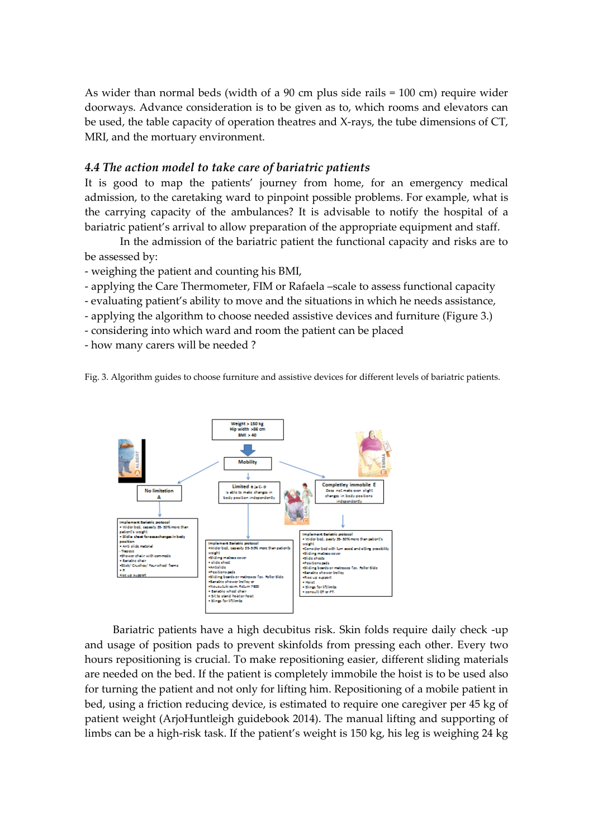As wider than normal beds (width of a 90 cm plus side rails = 100 cm) require wider doorways. Advance consideration is to be given as to, which rooms and elevators can be used, the table capacity of operation theatres and X-rays, the tube dimensions of CT, MRI, and the mortuary environment.

# *4.4 The action model to take care of bariatric patients*

It is good to map the patients' journey from home, for an emergency medical admission, to the caretaking ward to pinpoint possible problems. For example, what is the carrying capacity of the ambulances? It is advisable to notify the hospital of a bariatric patient's arrival to allow preparation of the appropriate equipment and staff.

In the admission of the bariatric patient the functional capacity and risks are to be assessed by:

- weighing the patient and counting his BMI,

- applying the Care Thermometer, FIM or Rafaela –scale to assess functional capacity

- evaluating patient's ability to move and the situations in which he needs assistance,

- applying the algorithm to choose needed assistive devices and furniture (Figure 3.)
- considering into which ward and room the patient can be placed

- how many carers will be needed ?





Bariatric patients have a high decubitus risk. Skin folds require daily check -up and usage of position pads to prevent skinfolds from pressing each other. Every two hours repositioning is crucial. To make repositioning easier, different sliding materials are needed on the bed. If the patient is completely immobile the hoist is to be used also for turning the patient and not only for lifting him. Repositioning of a mobile patient in bed, using a friction reducing device, is estimated to require one caregiver per 45 kg of patient weight (ArjoHuntleigh guidebook 2014). The manual lifting and supporting of limbs can be a high-risk task. If the patient's weight is 150 kg, his leg is weighing 24 kg